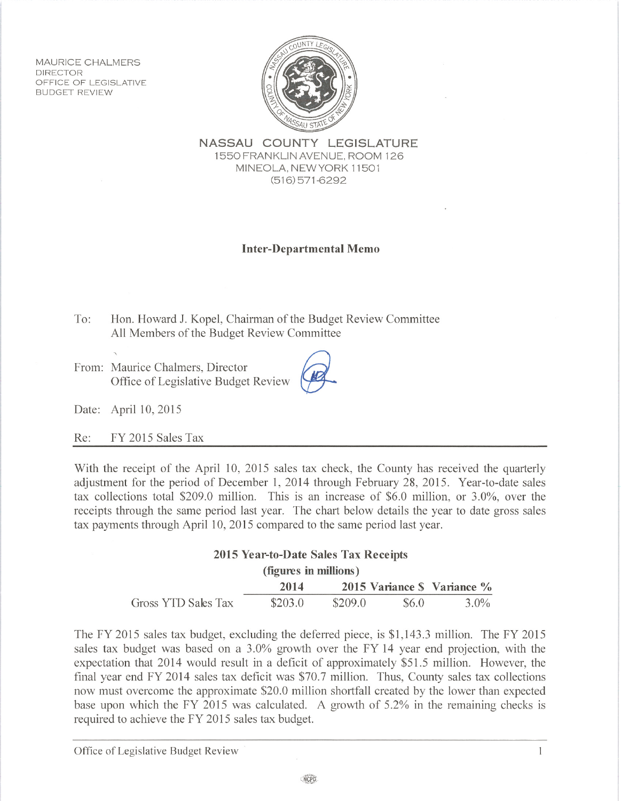**MAURICE CHALMERS DIRECTOR** OFFICE OF LEGISLATIVE **BUDGET REVIEW** 



NASSAU COUNTY LEGISLATURE 1550 FRANKLIN AVENUE, ROOM 126 MINEOLA, NEW YORK 11501  $(516)$  571-6292

## **Inter-Departmental Memo**

To: Hon. Howard J. Kopel, Chairman of the Budget Review Committee All Members of the Budget Review Committee

From: Maurice Chalmers, Director Office of Legislative Budget Review

Date: April 10, 2015

FY 2015 Sales Tax Re:

With the receipt of the April 10, 2015 sales tax check, the County has received the quarterly adjustment for the period of December 1, 2014 through February 28, 2015. Year-to-date sales tax collections total \$209.0 million. This is an increase of \$6.0 million, or 3.0%, over the receipts through the same period last year. The chart below details the year to date gross sales tax payments through April 10, 2015 compared to the same period last year.

| 2015 Year-to-Date Sales Tax Receipts |         |         |       |                             |  |
|--------------------------------------|---------|---------|-------|-----------------------------|--|
| (figures in millions)                |         |         |       |                             |  |
|                                      | 2014    |         |       | 2015 Variance \$ Variance % |  |
| Gross YTD Sales Tax                  | \$203.0 | \$209.0 | \$6.0 | $3.0\%$                     |  |

The FY 2015 sales tax budget, excluding the deferred piece, is \$1,143.3 million. The FY 2015 sales tax budget was based on a 3.0% growth over the FY 14 year end projection, with the expectation that 2014 would result in a deficit of approximately \$51.5 million. However, the final year end FY 2014 sales tax deficit was \$70.7 million. Thus, County sales tax collections now must overcome the approximate \$20.0 million shortfall created by the lower than expected base upon which the FY 2015 was calculated. A growth of 5.2% in the remaining checks is required to achieve the FY 2015 sales tax budget.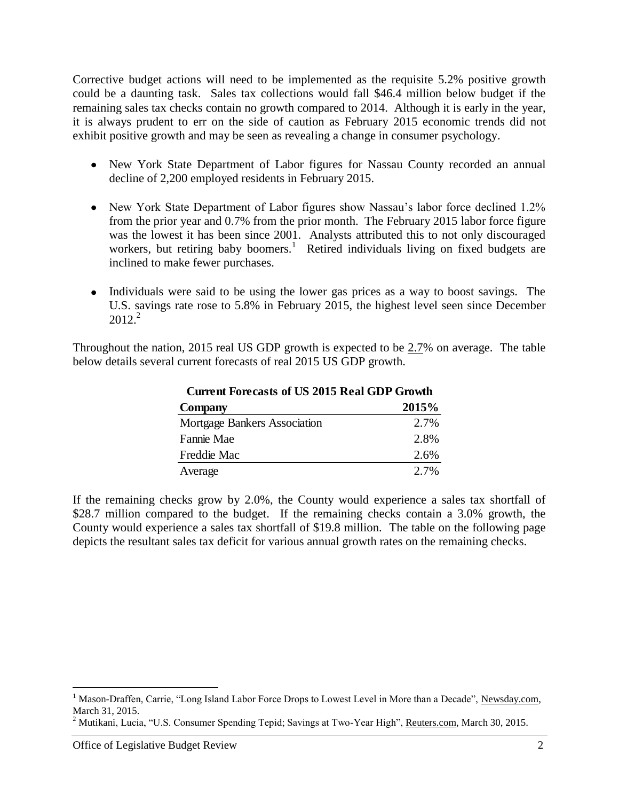Corrective budget actions will need to be implemented as the requisite 5.2% positive growth could be a daunting task. Sales tax collections would fall \$46.4 million below budget if the remaining sales tax checks contain no growth compared to 2014. Although it is early in the year, it is always prudent to err on the side of caution as February 2015 economic trends did not exhibit positive growth and may be seen as revealing a change in consumer psychology.

- New York State Department of Labor figures for Nassau County recorded an annual decline of 2,200 employed residents in February 2015.
- New York State Department of Labor figures show Nassau's labor force declined 1.2% from the prior year and 0.7% from the prior month. The February 2015 labor force figure was the lowest it has been since 2001. Analysts attributed this to not only discouraged workers, but retiring baby boomers.<sup>1</sup> Retired individuals living on fixed budgets are inclined to make fewer purchases.
- Individuals were said to be using the lower gas prices as a way to boost savings. The U.S. savings rate rose to 5.8% in February 2015, the highest level seen since December  $2012.<sup>2</sup>$

Throughout the nation, 2015 real US GDP growth is expected to be 2.7% on average. The table below details several current forecasts of real 2015 US GDP growth.

**Current Forecasts of US 2015 Real GDP Growth**

| Current Forecasts of US 2015 Real GDP Growth |       |  |
|----------------------------------------------|-------|--|
| Company                                      | 2015% |  |
| <b>Mortgage Bankers Association</b>          | 2.7%  |  |
| Fannie Mae                                   | 2.8%  |  |
| Freddie Mac                                  | 2.6%  |  |
| Average                                      | 2.7%  |  |

If the remaining checks grow by 2.0%, the County would experience a sales tax shortfall of \$28.7 million compared to the budget. If the remaining checks contain a 3.0% growth, the County would experience a sales tax shortfall of \$19.8 million. The table on the following page depicts the resultant sales tax deficit for various annual growth rates on the remaining checks.

 $\overline{a}$ 

<sup>&</sup>lt;sup>1</sup> Mason-Draffen, Carrie, "Long Island Labor Force Drops to Lowest Level in More than a Decade", Newsday.com, March 31, 2015.

<sup>&</sup>lt;sup>2</sup> Mutikani, Lucia, "U.S. Consumer Spending Tepid; Savings at Two-Year High", Reuters.com, March 30, 2015.